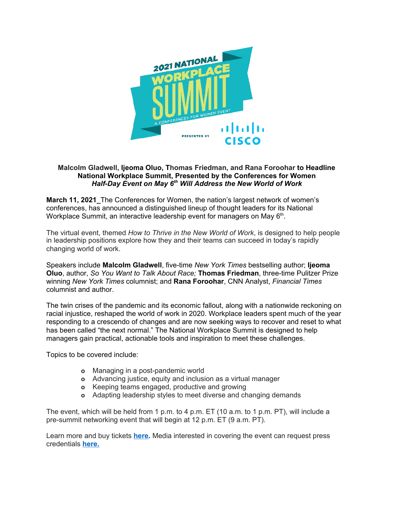

## **Malcolm Gladwell, Ijeoma Oluo, Thomas Friedman, and Rana Foroohar to Headline National Workplace Summit, Presented by the Conferences for Women** *Half-Day Event on May 6 th Will Address the New World of Work*

**March 11, 2021\_**The Conferences for Women, the nation's largest network of women's conferences, has announced a distinguished lineup of thought leaders for its National Workplace Summit, an interactive leadership event for managers on May 6<sup>th</sup>.

The virtual event, themed *How to Thrive in the New World of Work*, is designed to help people in leadership positions explore how they and their teams can succeed in today's rapidly changing world of work.

Speakers include **Malcolm Gladwell**, five-time *New York Times* bestselling author; **Ijeoma Oluo**, author, *So You Want to Talk About Race;* **Thomas Friedman**, three-time Pulitzer Prize winning *New York Times* columnist; and **Rana Foroohar**, CNN Analyst, *Financial Times* columnist and author.

The twin crises of the pandemic and its economic fallout, along with a nationwide reckoning on racial injustice, reshaped the world of work in 2020. Workplace leaders spent much of the year responding to a crescendo of changes and are now seeking ways to recover and reset to what has been called "the next normal." The National Workplace Summit is designed to help managers gain practical, actionable tools and inspiration to meet these challenges.

Topics to be covered include:

- **o** Managing in a post-pandemic world
- **o** Advancing justice, equity and inclusion as a virtual manager
- **o** Keeping teams engaged, productive and growing
- **o** Adapting leadership styles to meet diverse and changing demands

The event, which will be held from 1 p.m. to 4 p.m. ET (10 a.m. to 1 p.m. PT), will include a pre-summit networking event that will begin at 12 p.m. ET (9 a.m. PT).

Learn more and buy tickets **[here.](https://www.conferencesforwomen.org/summit/)** Media interested in covering the event can request press credentials **[here.](https://docs.google.com/forms/d/e/1FAIpQLSfwzhsk8VrJVMzFv96Yci4buwjxnLwcWh_wfxbis4ykwbOmiA/viewform?usp=sf_link)**